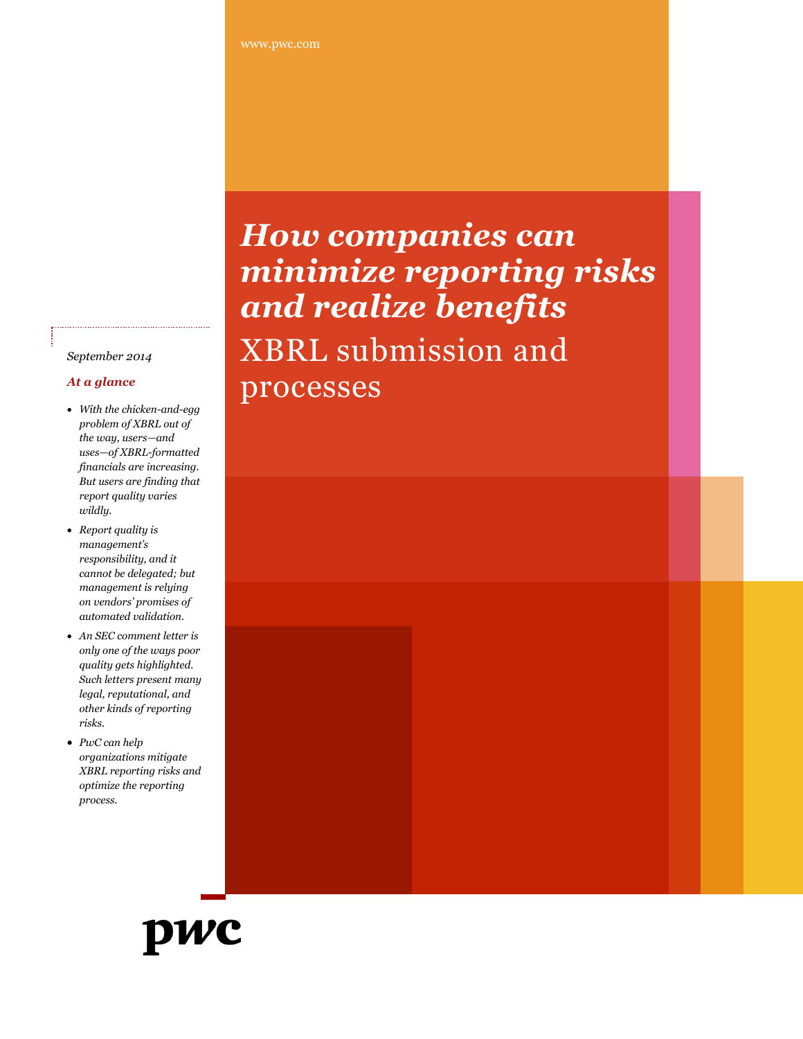# *How companies can minimize reporting risks and realize benefits* XBRL submission and processes

*September 2014*

#### *At a glance*

- *With the chicken-and-egg problem of XBRL out of the way, users—and uses—of XBRL-formatted financials are increasing. But users are finding that report quality varies wildly.*
- *Report quality is management's responsibility, and it cannot be delegated; but management is relying on vendors' promises of automated validation.*
- *An SEC comment letter is only one of the ways poor quality gets highlighted. Such letters present many legal, reputational, and other kinds of reporting risks.*
- *PwC can help organizations mitigate XBRL reporting risks and optimize the reporting process.*

pwc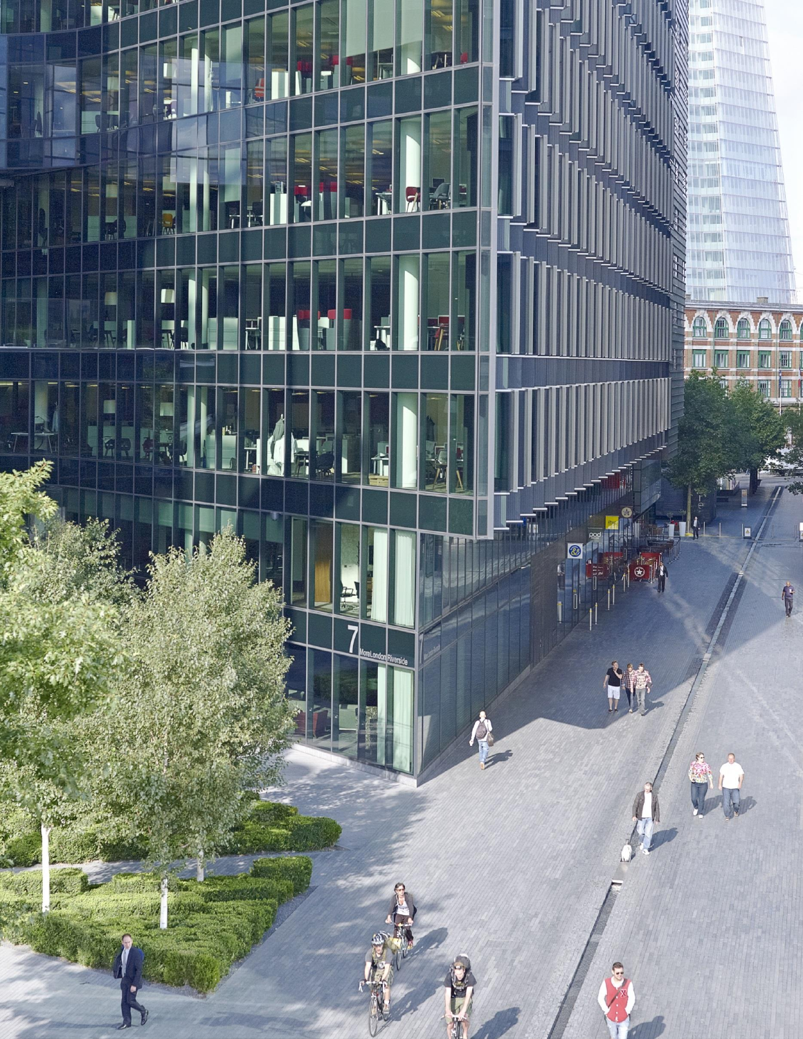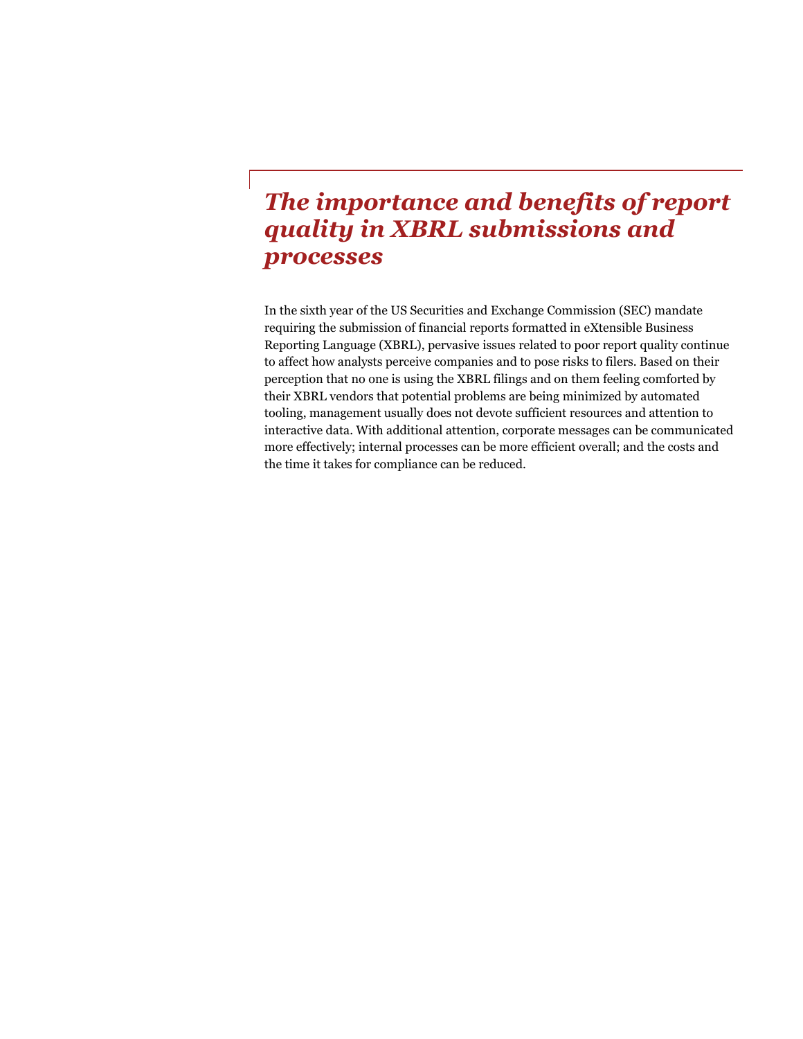### *The importance and benefits of report quality in XBRL submissions and processes*

In the sixth year of the US Securities and Exchange Commission (SEC) mandate requiring the submission of financial reports formatted in eXtensible Business Reporting Language (XBRL), pervasive issues related to poor report quality continue to affect how analysts perceive companies and to pose risks to filers. Based on their perception that no one is using the XBRL filings and on them feeling comforted by their XBRL vendors that potential problems are being minimized by automated tooling, management usually does not devote sufficient resources and attention to interactive data. With additional attention, corporate messages can be communicated more effectively; internal processes can be more efficient overall; and the costs and the time it takes for compliance can be reduced.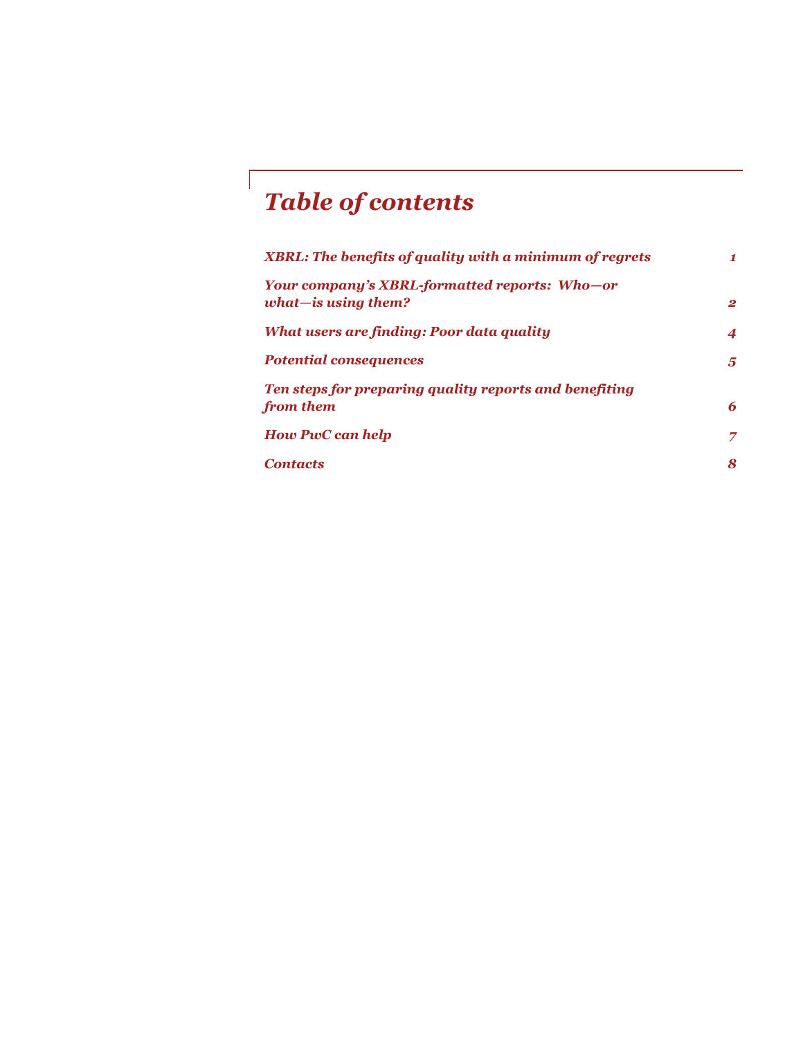# *Table of contents*

| <b>XBRL: The benefits of quality with a minimum of regrets</b>       | 1            |
|----------------------------------------------------------------------|--------------|
| Your company's XBRL-formatted reports: Who–or<br>what—is using them? | $\mathbf{2}$ |
| <b>What users are finding: Poor data quality</b>                     | 4            |
| <b>Potential consequences</b>                                        | 5            |
| Ten steps for preparing quality reports and benefiting<br>from them  | 6            |
| <b>How PwC can help</b>                                              | 7            |
| <b>Contacts</b>                                                      | 8            |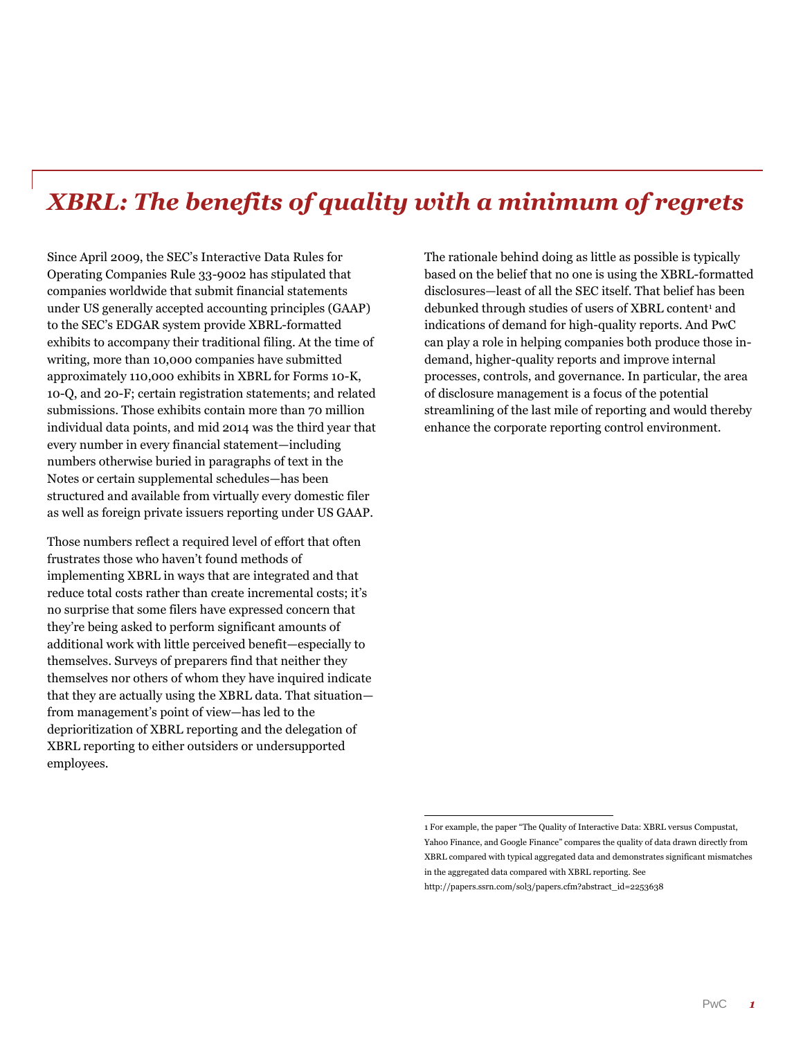### <span id="page-4-0"></span>*XBRL: The benefits of quality with a minimum of regrets*

Since April 2009, the SEC's Interactive Data Rules for Operating Companies Rule 33-9002 has stipulated that companies worldwide that submit financial statements under US generally accepted accounting principles (GAAP) to the SEC's EDGAR system provide XBRL-formatted exhibits to accompany their traditional filing. At the time of writing, more than 10,000 companies have submitted approximately 110,000 exhibits in XBRL for Forms 10-K, 10-Q, and 20-F; certain registration statements; and related submissions. Those exhibits contain more than 70 million individual data points, and mid 2014 was the third year that every number in every financial statement—including numbers otherwise buried in paragraphs of text in the Notes or certain supplemental schedules—has been structured and available from virtually every domestic filer as well as foreign private issuers reporting under US GAAP.

Those numbers reflect a required level of effort that often frustrates those who haven't found methods of implementing XBRL in ways that are integrated and that reduce total costs rather than create incremental costs; it's no surprise that some filers have expressed concern that they're being asked to perform significant amounts of additional work with little perceived benefit—especially to themselves. Surveys of preparers find that neither they themselves nor others of whom they have inquired indicate that they are actually using the XBRL data. That situation from management's point of view—has led to the deprioritization of XBRL reporting and the delegation of XBRL reporting to either outsiders or undersupported employees.

The rationale behind doing as little as possible is typically based on the belief that no one is using the XBRL-formatted disclosures—least of all the SEC itself. That belief has been debunked through studies of users of XBRL content<sup>1</sup> and indications of demand for high-quality reports. And PwC can play a role in helping companies both produce those indemand, higher-quality reports and improve internal processes, controls, and governance. In particular, the area of disclosure management is a focus of the potential streamlining of the last mile of reporting and would thereby enhance the corporate reporting control environment.

 $\overline{a}$ 1 For example, the paper "The Quality of Interactive Data: XBRL versus Compustat, Yahoo Finance, and Google Finance" compares the quality of data drawn directly from XBRL compared with typical aggregated data and demonstrates significant mismatches in the aggregated data compared with XBRL reporting. See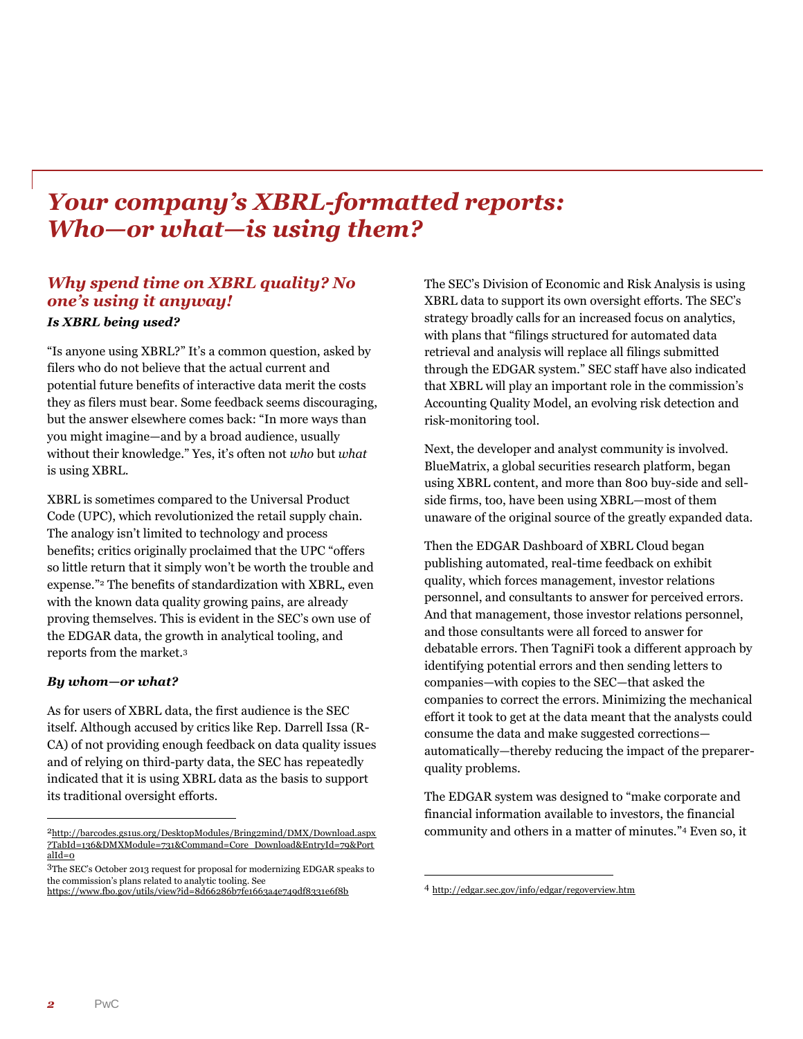### <span id="page-5-0"></span>*Your company's XBRL-formatted reports: Who—or what—is using them?*

#### *Why spend time on XBRL quality? No one's using it anyway!*

#### *Is XBRL being used?*

"Is anyone using XBRL?" It's a common question, asked by filers who do not believe that the actual current and potential future benefits of interactive data merit the costs they as filers must bear. Some feedback seems discouraging, but the answer elsewhere comes back: "In more ways than you might imagine—and by a broad audience, usually without their knowledge." Yes, it's often not *who* but *what*  is using XBRL.

XBRL is sometimes compared to the Universal Product Code (UPC), which revolutionized the retail supply chain. The analogy isn't limited to technology and process benefits; critics originally proclaimed that the UPC "offers so little return that it simply won't be worth the trouble and expense."<sup>2</sup> The benefits of standardization with XBRL, even with the known data quality growing pains, are already proving themselves. This is evident in the SEC's own use of the EDGAR data, the growth in analytical tooling, and reports from the market.<sup>3</sup>

#### *By whom—or what?*

As for users of XBRL data, the first audience is the SEC itself. Although accused by critics like Rep. Darrell Issa (R-CA) of not providing enough feedback on data quality issues and of relying on third-party data, the SEC has repeatedly indicated that it is using XBRL data as the basis to support its traditional oversight efforts.

The SEC's Division of Economic and Risk Analysis is using XBRL data to support its own oversight efforts. The SEC's strategy broadly calls for an increased focus on analytics, with plans that "filings structured for automated data retrieval and analysis will replace all filings submitted through the EDGAR system." SEC staff have also indicated that XBRL will play an important role in the commission's Accounting Quality Model, an evolving risk detection and risk-monitoring tool.

Next, the developer and analyst community is involved. BlueMatrix, a global securities research platform, began using XBRL content, and more than 800 buy-side and sellside firms, too, have been using XBRL—most of them unaware of the original source of the greatly expanded data.

Then the EDGAR Dashboard of XBRL Cloud began publishing automated, real-time feedback on exhibit quality, which forces management, investor relations personnel, and consultants to answer for perceived errors. And that management, those investor relations personnel, and those consultants were all forced to answer for debatable errors. Then TagniFi took a different approach by identifying potential errors and then sending letters to companies—with copies to the SEC—that asked the companies to correct the errors. Minimizing the mechanical effort it took to get at the data meant that the analysts could consume the data and make suggested corrections automatically—thereby reducing the impact of the preparerquality problems.

The EDGAR system was designed to "make corporate and financial information available to investors, the financial community and others in a matter of minutes."<sup>4</sup> Even so, it

 $\overline{a}$ 

 $\overline{a}$ 

<sup>2</sup>[http://barcodes.gs1us.org/DesktopModules/Bring2mind/DMX/Download.aspx](http://barcodes.gs1us.org/DesktopModules/Bring2mind/DMX/Download.aspx?TabId=136&DMXModule=731&Command=Core_Download&EntryId=79&PortalId=0) [?TabId=136&DMXModule=731&Command=Core\\_Download&EntryId=79&Port](http://barcodes.gs1us.org/DesktopModules/Bring2mind/DMX/Download.aspx?TabId=136&DMXModule=731&Command=Core_Download&EntryId=79&PortalId=0) [alId=0](http://barcodes.gs1us.org/DesktopModules/Bring2mind/DMX/Download.aspx?TabId=136&DMXModule=731&Command=Core_Download&EntryId=79&PortalId=0)

<sup>3</sup>The SEC's October 2013 request for proposal for modernizing EDGAR speaks to the commission's plans related to analytic tooling. See <https://www.fbo.gov/utils/view?id=8d66286b7fe1663a4e749df8331e6f8b>

<sup>4</sup> <http://edgar.sec.gov/info/edgar/regoverview.htm>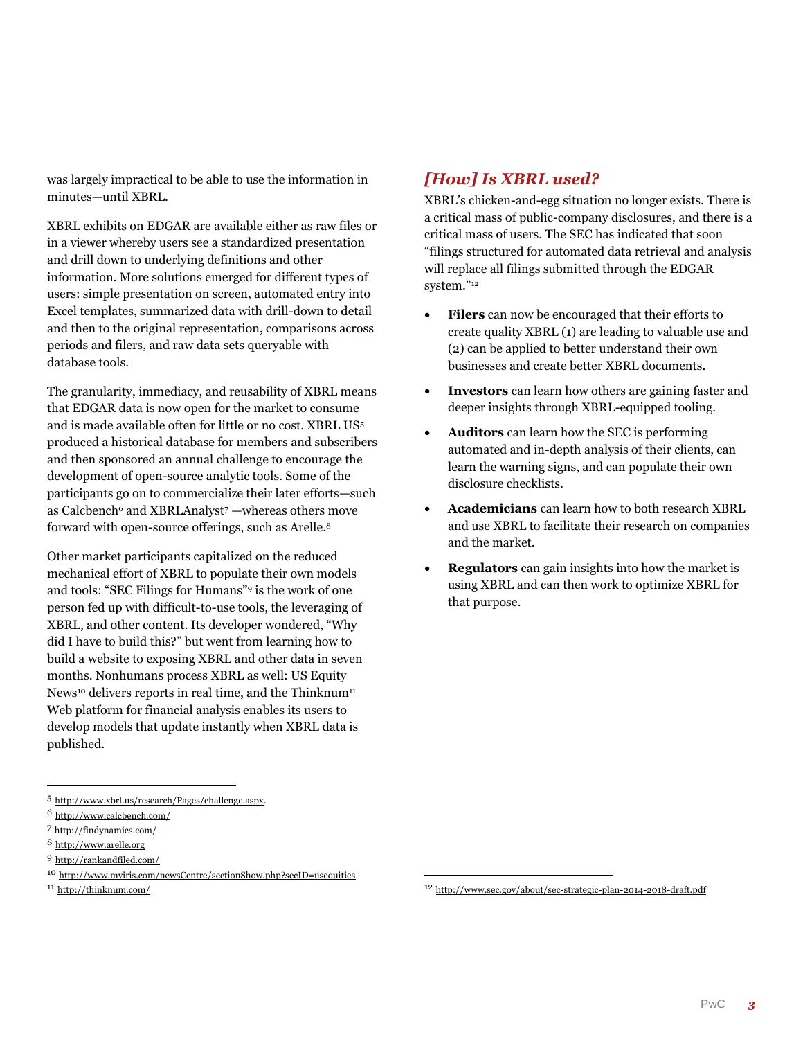was largely impractical to be able to use the information in minutes—until XBRL.

XBRL exhibits on EDGAR are available either as raw files or in a viewer whereby users see a standardized presentation and drill down to underlying definitions and other information. More solutions emerged for different types of users: simple presentation on screen, automated entry into Excel templates, summarized data with drill-down to detail and then to the original representation, comparisons across periods and filers, and raw data sets queryable with database tools.

The granularity, immediacy, and reusability of XBRL means that EDGAR data is now open for the market to consume and is made available often for little or no cost. XBRL US<sup>5</sup> produced a historical database for members and subscribers and then sponsored an annual challenge to encourage the development of open-source analytic tools. Some of the participants go on to commercialize their later efforts—such as Calcbench<sup>6</sup> and XBRLAnalyst<sup>7</sup> —whereas others move forward with open-source offerings, such as Arelle.<sup>8</sup>

Other market participants capitalized on the reduced mechanical effort of XBRL to populate their own models and tools: "SEC Filings for Humans"<sup>9</sup> is the work of one person fed up with difficult-to-use tools, the leveraging of XBRL, and other content. Its developer wondered, "Why did I have to build this?" but went from learning how to build a website to exposing XBRL and other data in seven months. Nonhumans process XBRL as well: US Equity News<sup>10</sup> delivers reports in real time, and the Thinknum<sup>11</sup> Web platform for financial analysis enables its users to develop models that update instantly when XBRL data is published.

 $\overline{a}$ 

#### *[How] Is XBRL used?*

XBRL's chicken-and-egg situation no longer exists. There is a critical mass of public-company disclosures, and there is a critical mass of users. The SEC has indicated that soon "filings structured for automated data retrieval and analysis will replace all filings submitted through the EDGAR system."<sup>12</sup>

- **Filers** can now be encouraged that their efforts to create quality XBRL (1) are leading to valuable use and (2) can be applied to better understand their own businesses and create better XBRL documents.
- **Investors** can learn how others are gaining faster and deeper insights through XBRL-equipped tooling.
- **Auditors** can learn how the SEC is performing automated and in-depth analysis of their clients, can learn the warning signs, and can populate their own disclosure checklists.
- **Academicians** can learn how to both research XBRL and use XBRL to facilitate their research on companies and the market.
- **Regulators** can gain insights into how the market is using XBRL and can then work to optimize XBRL for that purpose.

 $\overline{a}$ 

<sup>5</sup> [http://www.xbrl.us/research/Pages/challenge.aspx.](http://www.xbrl.us/research/Pages/challenge.aspx)

<sup>6</sup> <http://www.calcbench.com/>

<sup>7</sup> <http://findynamics.com/>

<sup>8</sup> [http://www.arelle.org](http://www.arelle.org/)

<sup>9</sup> <http://rankandfiled.com/>

<sup>10</sup> <http://www.myiris.com/newsCentre/sectionShow.php?secID=usequities>

<sup>11</sup> <http://thinknum.com/>

<sup>12</sup> <http://www.sec.gov/about/sec-strategic-plan-2014-2018-draft.pdf>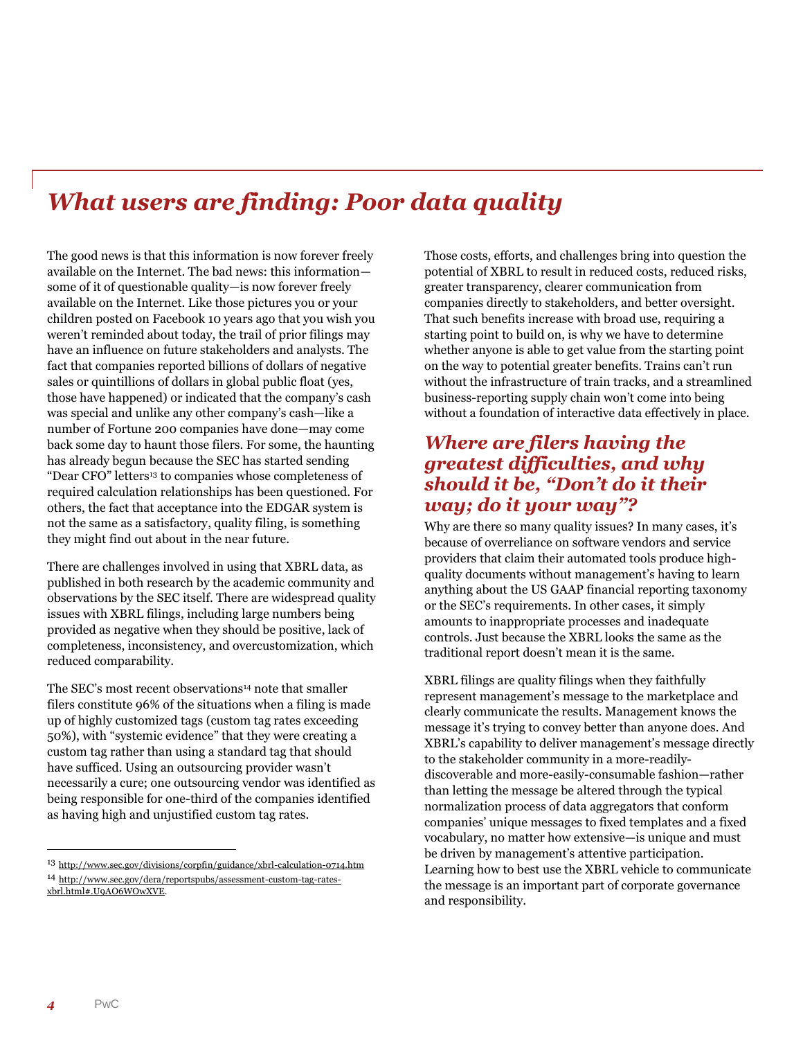### <span id="page-7-0"></span>*What users are finding: Poor data quality*

The good news is that this information is now forever freely available on the Internet. The bad news: this information some of it of questionable quality—is now forever freely available on the Internet. Like those pictures you or your children posted on Facebook 10 years ago that you wish you weren't reminded about today, the trail of prior filings may have an influence on future stakeholders and analysts. The fact that companies reported billions of dollars of negative sales or quintillions of dollars in global public float (yes, those have happened) or indicated that the company's cash was special and unlike any other company's cash—like a number of Fortune 200 companies have done—may come back some day to haunt those filers. For some, the haunting has already begun because the SEC has started sending "Dear CFO" letters<sup>13</sup> to companies whose completeness of required calculation relationships has been questioned. For others, the fact that acceptance into the EDGAR system is not the same as a satisfactory, quality filing, is something they might find out about in the near future.

There are challenges involved in using that XBRL data, as published in both research by the academic community and observations by the SEC itself. There are widespread quality issues with XBRL filings, including large numbers being provided as negative when they should be positive, lack of completeness, inconsistency, and overcustomization, which reduced comparability.

The SEC's most recent observations<sup>14</sup> note that smaller filers constitute 96% of the situations when a filing is made up of highly customized tags (custom tag rates exceeding 50%), with "systemic evidence" that they were creating a custom tag rather than using a standard tag that should have sufficed. Using an outsourcing provider wasn't necessarily a cure; one outsourcing vendor was identified as being responsible for one-third of the companies identified as having high and unjustified custom tag rates.

Those costs, efforts, and challenges bring into question the potential of XBRL to result in reduced costs, reduced risks, greater transparency, clearer communication from companies directly to stakeholders, and better oversight. That such benefits increase with broad use, requiring a starting point to build on, is why we have to determine whether anyone is able to get value from the starting point on the way to potential greater benefits. Trains can't run without the infrastructure of train tracks, and a streamlined business-reporting supply chain won't come into being without a foundation of interactive data effectively in place.

### *Where are filers having the greatest difficulties, and why should it be, "Don't do it their way; do it your way"?*

Why are there so many quality issues? In many cases, it's because of overreliance on software vendors and service providers that claim their automated tools produce highquality documents without management's having to learn anything about the US GAAP financial reporting taxonomy or the SEC's requirements. In other cases, it simply amounts to inappropriate processes and inadequate controls. Just because the XBRL looks the same as the traditional report doesn't mean it is the same.

XBRL filings are quality filings when they faithfully represent management's message to the marketplace and clearly communicate the results. Management knows the message it's trying to convey better than anyone does. And XBRL's capability to deliver management's message directly to the stakeholder community in a more-readilydiscoverable and more-easily-consumable fashion—rather than letting the message be altered through the typical normalization process of data aggregators that conform companies' unique messages to fixed templates and a fixed vocabulary, no matter how extensive—is unique and must be driven by management's attentive participation. Learning how to best use the XBRL vehicle to communicate the message is an important part of corporate governance and responsibility.

 $\overline{a}$ 

<sup>13</sup> <http://www.sec.gov/divisions/corpfin/guidance/xbrl-calculation-0714.htm>

<sup>14</sup> [http://www.sec.gov/dera/reportspubs/assessment-custom-tag-rates](http://www.sec.gov/dera/reportspubs/assessment-custom-tag-rates-xbrl.html#.U9AO6WOwXVE)[xbrl.html#.U9AO6WOwXVE.](http://www.sec.gov/dera/reportspubs/assessment-custom-tag-rates-xbrl.html#.U9AO6WOwXVE)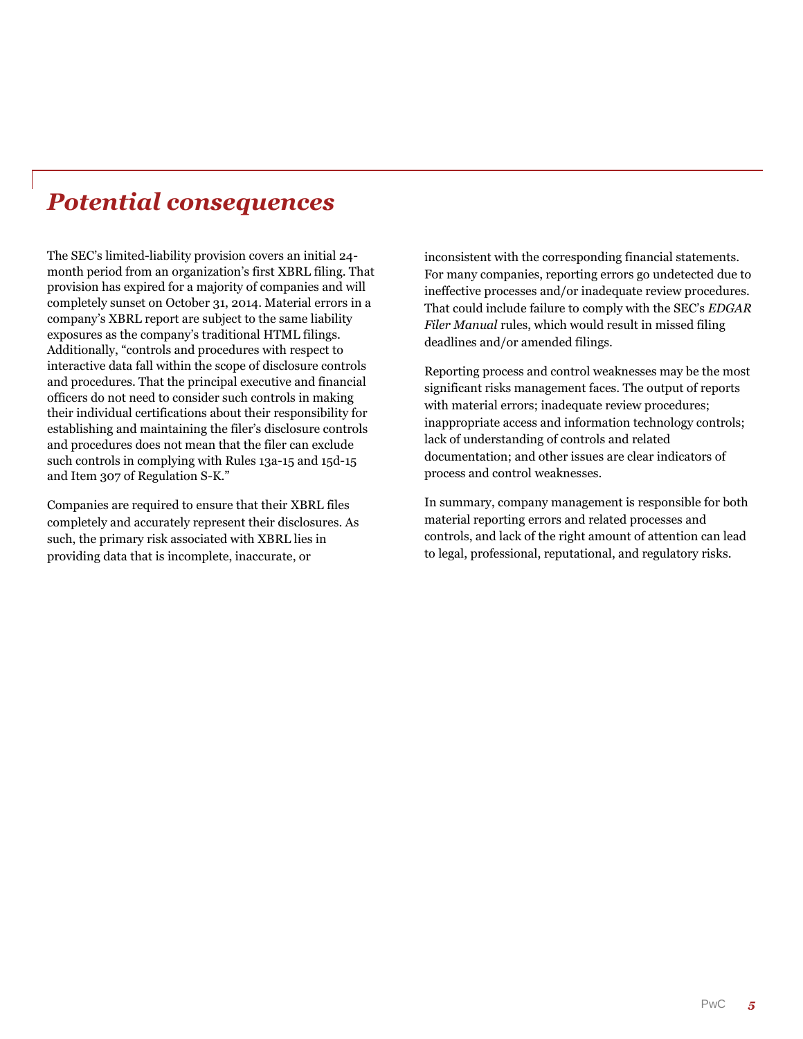## <span id="page-8-0"></span>*Potential consequences*

The SEC's limited-liability provision covers an initial 24 month period from an organization's first XBRL filing. That provision has expired for a majority of companies and will completely sunset on October 31, 2014. Material errors in a company's XBRL report are subject to the same liability exposures as the company's traditional HTML filings. Additionally, "controls and procedures with respect to interactive data fall within the scope of disclosure controls and procedures. That the principal executive and financial officers do not need to consider such controls in making their individual certifications about their responsibility for establishing and maintaining the filer's disclosure controls and procedures does not mean that the filer can exclude such controls in complying with Rules 13a-15 and 15d-15 and Item 307 of Regulation S-K."

Companies are required to ensure that their XBRL files completely and accurately represent their disclosures. As such, the primary risk associated with XBRL lies in providing data that is incomplete, inaccurate, or

inconsistent with the corresponding financial statements. For many companies, reporting errors go undetected due to ineffective processes and/or inadequate review procedures. That could include failure to comply with the SEC's *EDGAR Filer Manual* rules, which would result in missed filing deadlines and/or amended filings.

Reporting process and control weaknesses may be the most significant risks management faces. The output of reports with material errors; inadequate review procedures; inappropriate access and information technology controls; lack of understanding of controls and related documentation; and other issues are clear indicators of process and control weaknesses.

In summary, company management is responsible for both material reporting errors and related processes and controls, and lack of the right amount of attention can lead to legal, professional, reputational, and regulatory risks.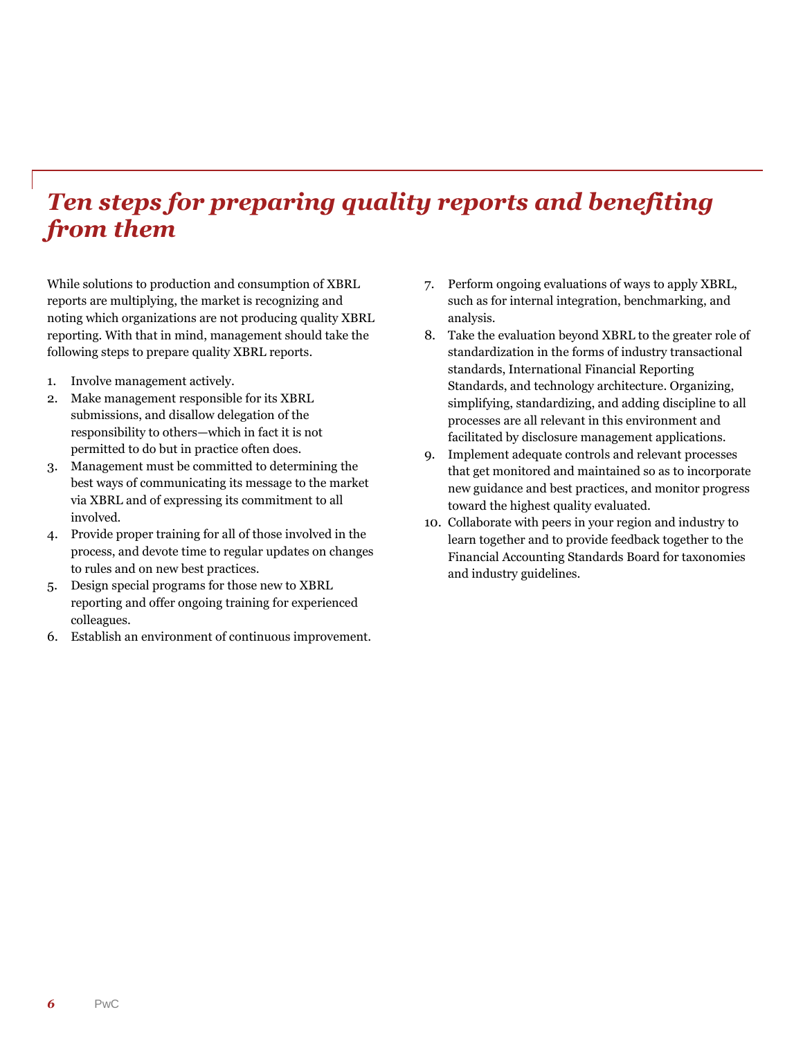### <span id="page-9-0"></span>*Ten steps for preparing quality reports and benefiting from them*

While solutions to production and consumption of XBRL reports are multiplying, the market is recognizing and noting which organizations are not producing quality XBRL reporting. With that in mind, management should take the following steps to prepare quality XBRL reports.

- 1. Involve management actively.
- 2. Make management responsible for its XBRL submissions, and disallow delegation of the responsibility to others—which in fact it is not permitted to do but in practice often does.
- 3. Management must be committed to determining the best ways of communicating its message to the market via XBRL and of expressing its commitment to all involved.
- 4. Provide proper training for all of those involved in the process, and devote time to regular updates on changes to rules and on new best practices.
- 5. Design special programs for those new to XBRL reporting and offer ongoing training for experienced colleagues.
- 6. Establish an environment of continuous improvement.
- 7. Perform ongoing evaluations of ways to apply XBRL, such as for internal integration, benchmarking, and analysis.
- 8. Take the evaluation beyond XBRL to the greater role of standardization in the forms of industry transactional standards, International Financial Reporting Standards, and technology architecture. Organizing, simplifying, standardizing, and adding discipline to all processes are all relevant in this environment and facilitated by disclosure management applications.
- 9. Implement adequate controls and relevant processes that get monitored and maintained so as to incorporate new guidance and best practices, and monitor progress toward the highest quality evaluated.
- 10. Collaborate with peers in your region and industry to learn together and to provide feedback together to the Financial Accounting Standards Board for taxonomies and industry guidelines.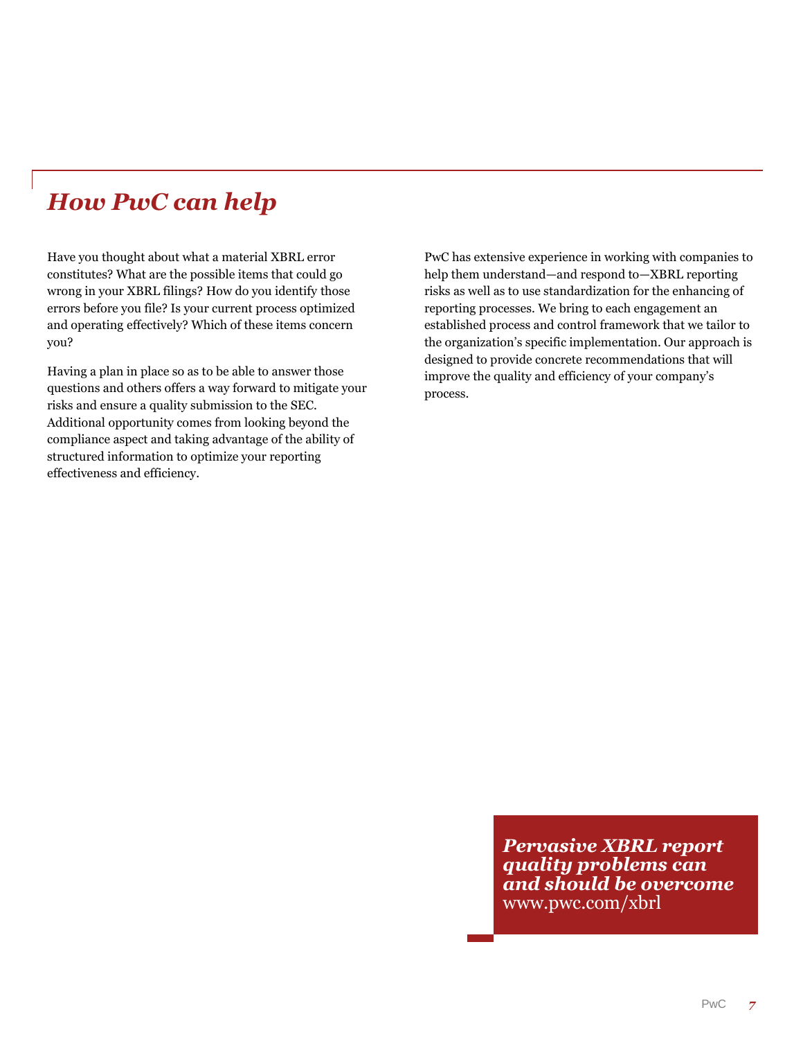# <span id="page-10-0"></span>*How PwC can help*

Have you thought about what a material XBRL error constitutes? What are the possible items that could go wrong in your XBRL filings? How do you identify those errors before you file? Is your current process optimized and operating effectively? Which of these items concern you?

Having a plan in place so as to be able to answer those questions and others offers a way forward to mitigate your risks and ensure a quality submission to the SEC. Additional opportunity comes from looking beyond the compliance aspect and taking advantage of the ability of structured information to optimize your reporting effectiveness and efficiency.

PwC has extensive experience in working with companies to help them understand—and respond to—XBRL reporting risks as well as to use standardization for the enhancing of reporting processes. We bring to each engagement an established process and control framework that we tailor to the organization's specific implementation. Our approach is designed to provide concrete recommendations that will improve the quality and efficiency of your company's process.

> *Pervasive XBRL report quality problems can and should be overcome* www.pwc.com/xbrl